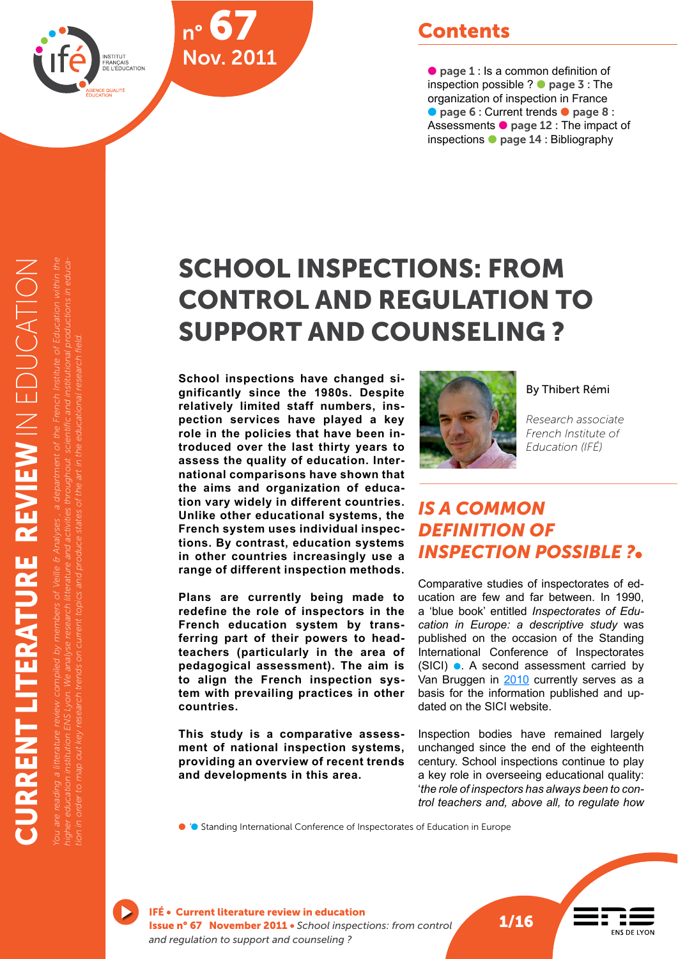



# **Contents**

● page 1 : Is a common definition of inspection possible ?  $\bullet$  page 3 : The organization of inspection in France ● page 6 : Current trends ● page 8 : Assessments ● page 12 : The impact of inspections • page 14 : Bibliography

# **SCHOOL INSPECTIONS: FROM CONTROL AND REGULATION TO SUPPORT AND COUNSELING?**

School inspections have changed significantly since the 1980s. Despite relatively limited staff numbers, inspection services have played a key role in the policies that have been introduced over the last thirty years to assess the quality of education. International comparisons have shown that the aims and organization of education vary widely in different countries. Unlike other educational systems, the French system uses individual inspections. By contrast, education systems in other countries increasingly use a range of different inspection methods.

Plans are currently being made to redefine the role of inspectors in the French education system by transferring part of their powers to headteachers (particularly in the area of pedagogical assessment). The aim is to align the French inspection system with prevailing practices in other countries.

This study is a comparative assessment of national inspection systems. providing an overview of recent trends and developments in this area.



### By Thibert Rémi

Research associate French Institute of Education (IFÉ)

# **IS A COMMON DEFINITION OF INSPECTION POSSIBLE ?.**

Comparative studies of inspectorates of education are few and far between. In 1990, a 'blue book' entitled Inspectorates of Education in Europe: a descriptive study was published on the occasion of the Standing International Conference of Inspectorates (SICI) ● A second assessment carried by Van Bruggen in 2010 currently serves as a basis for the information published and updated on the SICI website.

Inspection bodies have remained largely unchanged since the end of the eighteenth century. School inspections continue to play a key role in overseeing educational quality: 'the role of inspectors has always been to control teachers and, above all, to regulate how

<sup>1</sup> Standing International Conference of Inspectorates of Education in Europe

IFÉ • Current literature review in education Issue nº 67 November 2011 . School inspections: from control and regulation to support and counseling?

1/16

**FNS DE LYON**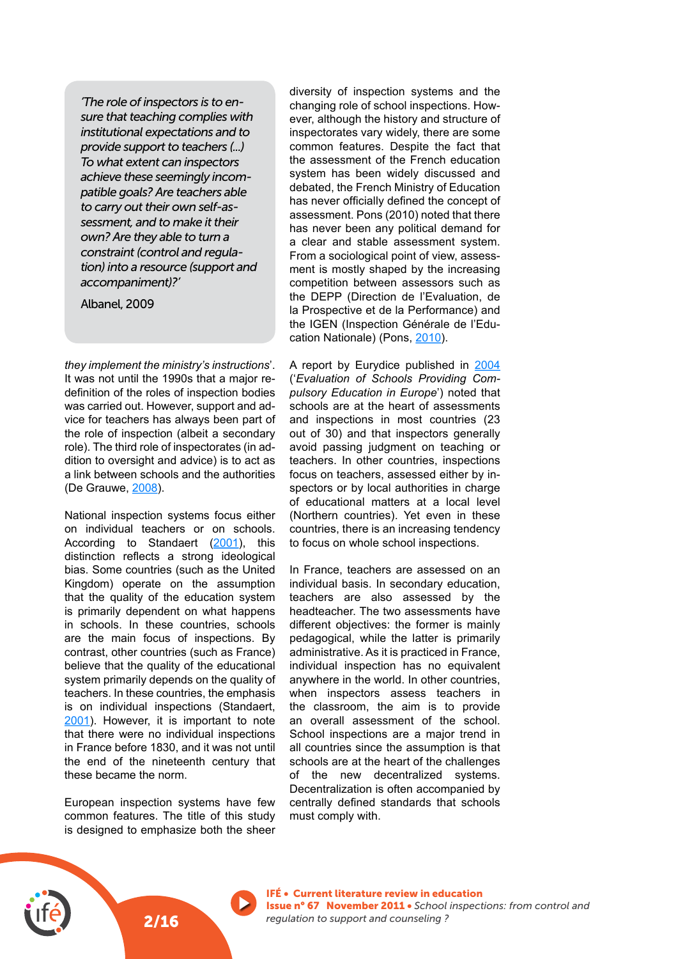The role of inspectors is to ensure that teaching complies with institutional expectations and to provide support to teachers (...) To what extent can inspectors achieve these seemingly incompatible goals? Are teachers able to carry out their own self-assessment, and to make it their own? Are they able to turn a constraint (control and regulation) into a resource (support and accompaniment)?'

Albanel, 2009

they implement the ministry's instructions'. It was not until the 1990s that a major redefinition of the roles of inspection bodies was carried out. However, support and advice for teachers has always been part of the role of inspection (albeit a secondary role). The third role of inspectorates (in addition to oversight and advice) is to act as a link between schools and the authorities (De Grauwe, 2008).

National inspection systems focus either on individual teachers or on schools. According to Standaert (2001), this distinction reflects a strong ideological bias. Some countries (such as the United Kingdom) operate on the assumption that the quality of the education system is primarily dependent on what happens in schools. In these countries, schools are the main focus of inspections. By contrast, other countries (such as France) believe that the quality of the educational system primarily depends on the quality of teachers. In these countries, the emphasis is on individual inspections (Standaert, 2001). However, it is important to note that there were no individual inspections in France before 1830, and it was not until the end of the nineteenth century that these became the norm.

European inspection systems have few common features. The title of this study is designed to emphasize both the sheer diversity of inspection systems and the changing role of school inspections. However, although the history and structure of inspectorates vary widely, there are some common features. Despite the fact that the assessment of the French education system has been widely discussed and debated, the French Ministry of Education has never officially defined the concept of assessment. Pons (2010) noted that there has never been any political demand for a clear and stable assessment system. From a sociological point of view, assessment is mostly shaped by the increasing competition between assessors such as the DEPP (Direction de l'Evaluation, de la Prospective et de la Performance) and the IGEN (Inspection Générale de l'Education Nationale) (Pons, 2010).

A report by Eurydice published in 2004 ('Evaluation of Schools Providing Compulsory Education in Europe') noted that schools are at the heart of assessments and inspections in most countries (23 out of 30) and that inspectors generally avoid passing judgment on teaching or teachers. In other countries, inspections focus on teachers, assessed either by inspectors or by local authorities in charge of educational matters at a local level (Northern countries). Yet even in these countries, there is an increasing tendency to focus on whole school inspections.

In France, teachers are assessed on an individual basis. In secondary education. teachers are also assessed by the headteacher. The two assessments have different objectives: the former is mainly pedagogical, while the latter is primarily administrative. As it is practiced in France. individual inspection has no equivalent anywhere in the world. In other countries, when inspectors assess teachers in the classroom, the aim is to provide an overall assessment of the school. School inspections are a major trend in all countries since the assumption is that schools are at the heart of the challenges of the new decentralized systems. Decentralization is often accompanied by centrally defined standards that schools must comply with.



IFÉ • Current literature review in education **Issue n° 67 November 2011** • School inspections: from control and regulation to support and counseling?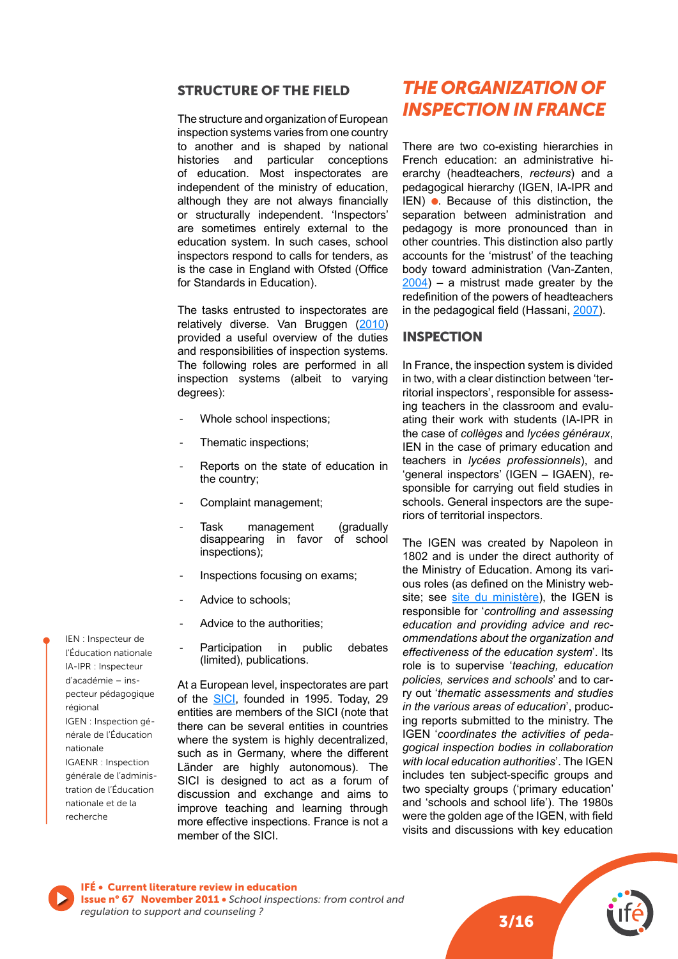#### **STRUCTURE OF THE FIELD**

The structure and organization of European inspection systems varies from one country to another and is shaped by national histories and particular conceptions of education. Most inspectorates are independent of the ministry of education, although they are not always financially or structurally independent. 'Inspectors' are sometimes entirely external to the education system. In such cases, school inspectors respond to calls for tenders, as is the case in England with Ofsted (Office for Standards in Education).

The tasks entrusted to inspectorates are relatively diverse. Van Bruggen (2010) provided a useful overview of the duties and responsibilities of inspection systems. The following roles are performed in all inspection systems (albeit to varying degrees):

- Whole school inspections:
- Thematic inspections;
- Reports on the state of education in the country;
- Complaint management;
- **Task** management (gradually of school disappearing in favor inspections);
- Inspections focusing on exams;
- Advice to schools;
- Advice to the authorities:
- public debates Participation in (limited), publications.

At a European level, inspectorates are part of the SICI, founded in 1995. Today, 29 entities are members of the SICI (note that there can be several entities in countries where the system is highly decentralized, such as in Germany, where the different Länder are highly autonomous). The SICI is designed to act as a forum of discussion and exchange and aims to improve teaching and learning through more effective inspections. France is not a member of the SICL

# **THE ORGANIZATION OF INSPECTION IN FRANCE**

There are two co-existing hierarchies in French education: an administrative hierarchy (headteachers, recteurs) and a pedagogical hierarchy (IGEN, IA-IPR and IEN) • Because of this distinction, the separation between administration and pedagogy is more pronounced than in other countries. This distinction also partly accounts for the 'mistrust' of the teaching body toward administration (Van-Zanten.  $2004$ ) – a mistrust made greater by the redefinition of the powers of headteachers in the pedagogical field (Hassani, 2007).

### **INSPECTION**

In France, the inspection system is divided in two, with a clear distinction between 'territorial inspectors', responsible for assessing teachers in the classroom and evaluating their work with students (IA-IPR in the case of collèges and lycées généraux, IEN in the case of primary education and teachers in lycées professionnels), and 'general inspectors' (IGEN - IGAEN), responsible for carrying out field studies in schools. General inspectors are the superiors of territorial inspectors.

The IGEN was created by Napoleon in 1802 and is under the direct authority of the Ministry of Education. Among its various roles (as defined on the Ministry website; see site du ministère), the IGEN is responsible for 'controlling and assessing education and providing advice and recommendations about the organization and effectiveness of the education system'. Its role is to supervise 'teaching, education policies, services and schools' and to carry out 'thematic assessments and studies in the various areas of education', producing reports submitted to the ministry. The IGEN 'coordinates the activities of pedagogical inspection bodies in collaboration with local education authorities'. The IGEN includes ten subiect-specific groups and two specialty groups ('primary education' and 'schools and school life'). The 1980s were the golden age of the IGEN, with field visits and discussions with key education

 $3/16$ 



l'Éducation nationale IA-IPR : Inspecteur d'académie - inspecteur pédagogique régional IGEN: Inspection générale de l'Éducation nationale IGAENR · Inspection générale de l'administration de l'Éducation nationale et de la

recherche

IEN : Inspecteur de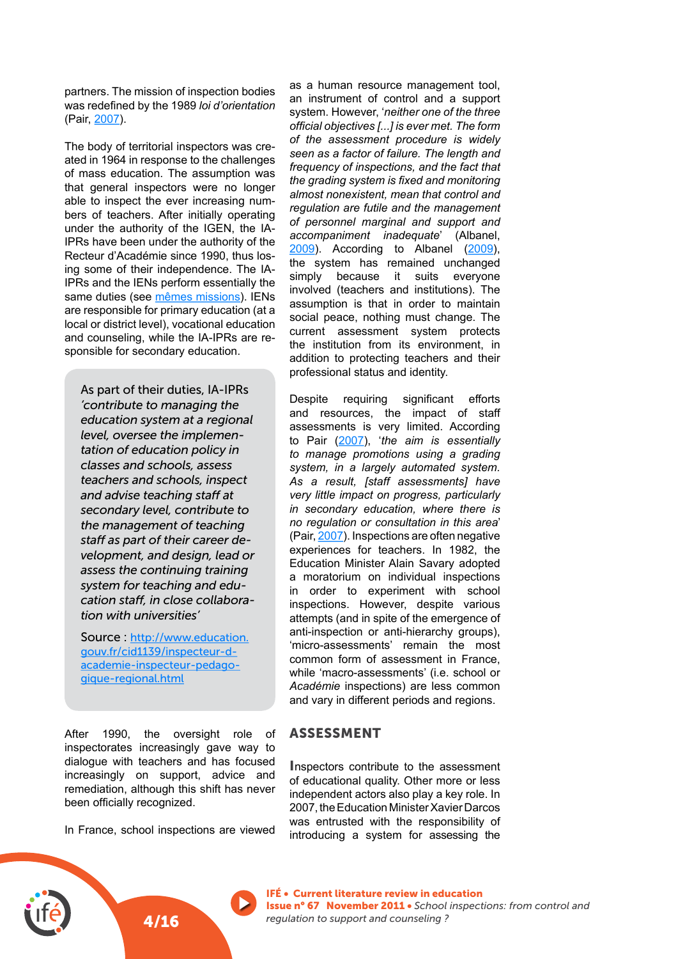partners. The mission of inspection bodies was redefined by the 1989 loi d'orientation (Pair, 2007).

The body of territorial inspectors was created in 1964 in response to the challenges of mass education. The assumption was that general inspectors were no longer able to inspect the ever increasing numbers of teachers. After initially operating under the authority of the IGEN, the IA-IPRs have been under the authority of the Recteur d'Académie since 1990, thus losing some of their independence. The IA-IPRs and the IENs perform essentially the same duties (see mêmes missions). IENs are responsible for primary education (at a local or district level), vocational education and counseling, while the IA-IPRs are responsible for secondary education.

As part of their duties, IA-IPRs 'contribute to managing the education system at a regional level, oversee the implementation of education policy in classes and schools, assess teachers and schools, inspect and advise teaching staff at secondary level, contribute to the management of teaching staff as part of their career development, and design, lead or assess the continuing training system for teaching and education staff, in close collaboration with universities'

Source: http://www.education. gouv.fr/cid1139/inspecteur-dacademie-inspecteur-pedagogique-regional.html

After 1990, the oversight role of inspectorates increasingly gave way to dialoque with teachers and has focused increasingly on support, advice and remediation, although this shift has never been officially recognized.

In France, school inspections are viewed

4/16

as a human resource management tool. an instrument of control and a support system. However, 'neither one of the three official objectives [...] is ever met. The form of the assessment procedure is widely seen as a factor of failure. The length and frequency of inspections, and the fact that the grading system is fixed and monitoring almost nonexistent, mean that control and requiation are futile and the management of personnel marginal and support and accompaniment inadequate' (Albanel, 2009). According to Albanel (2009). the system has remained unchanged simply because it suits everyone involved (teachers and institutions). The assumption is that in order to maintain social peace, nothing must change. The current assessment system protects the institution from its environment. in addition to protecting teachers and their professional status and identity.

Despite reauirina significant efforts and resources, the impact of staff assessments is very limited. According to Pair (2007), 'the aim is essentially to manage promotions using a grading system, in a largely automated system. As a result, [staff assessments] have very little impact on progress, particularly in secondary education, where there is no regulation or consultation in this area' (Pair, 2007). Inspections are often negative experiences for teachers. In 1982, the Education Minister Alain Savary adopted a moratorium on individual inspections in order to experiment with school inspections. However, despite various attempts (and in spite of the emergence of anti-inspection or anti-hierarchy groups), 'micro-assessments' remain the most common form of assessment in France. while 'macro-assessments' (i.e. school or Académie inspections) are less common and vary in different periods and regions.

#### **ASSESSMENT**

Inspectors contribute to the assessment of educational quality. Other more or less independent actors also play a key role. In 2007, the Education Minister Xavier Darcos was entrusted with the responsibility of introducing a system for assessing the



IFÉ • Current literature review in education **Issue n° 67 November 2011** • School inspections: from control and regulation to support and counseling?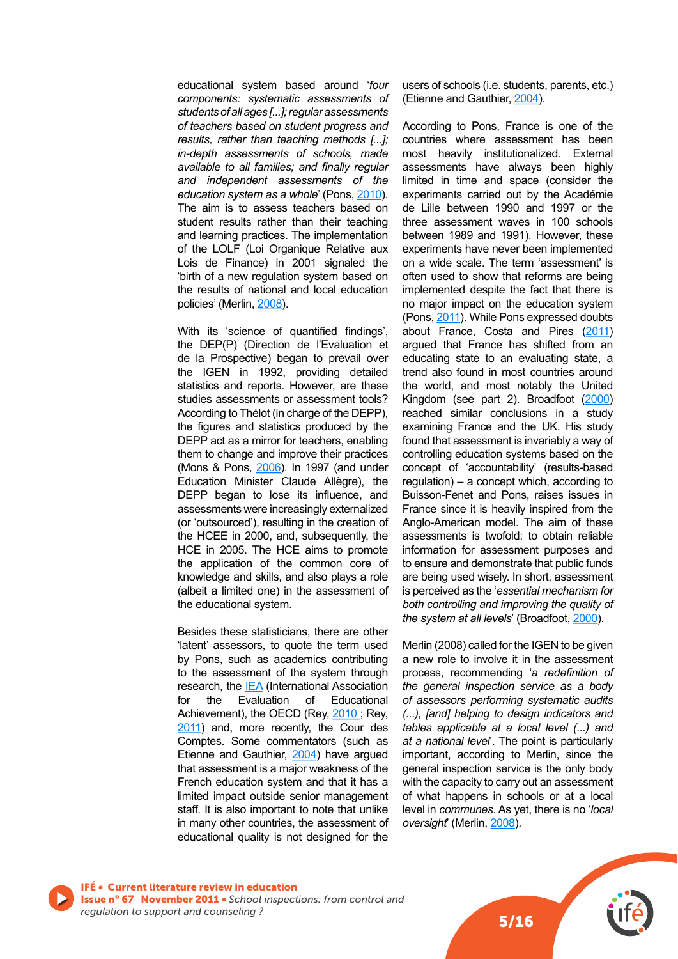educational system based around 'four components: systematic assessments of students of all ages [...]; regular assessments of teachers based on student progress and results, rather than teaching methods [...]; in-depth assessments of schools, made available to all families; and finally regular and independent assessments of the education system as a whole' (Pons. 2010). The aim is to assess teachers based on student results rather than their teaching and learning practices. The implementation of the LOLF (Loi Organique Relative aux Lois de Finance) in 2001 signaled the 'birth of a new regulation system based on the results of national and local education policies' (Merlin, 2008).

With its 'science of quantified findings'. the DEP(P) (Direction de l'Evaluation et de la Prospective) began to prevail over the IGEN in 1992, providing detailed statistics and reports. However, are these studies assessments or assessment tools? According to Thélot (in charge of the DEPP). the figures and statistics produced by the DEPP act as a mirror for teachers, enabling them to change and improve their practices (Mons & Pons, 2006). In 1997 (and under Education Minister Claude Allègre), the DEPP began to lose its influence, and assessments were increasingly externalized (or 'outsourced'), resulting in the creation of the HCEE in 2000, and, subsequently, the HCE in 2005. The HCE aims to promote the application of the common core of knowledge and skills, and also plays a role (albeit a limited one) in the assessment of the educational system.

Besides these statisticians, there are other 'latent' assessors, to quote the term used by Pons, such as academics contributing to the assessment of the system through research, the IEA (International Association for the Evaluation of Educational Achievement), the OECD (Rey, 2010; Rey, 2011) and, more recently, the Cour des Comptes. Some commentators (such as Etienne and Gauthier, 2004) have argued that assessment is a major weakness of the French education system and that it has a limited impact outside senior management staff. It is also important to note that unlike in many other countries, the assessment of educational quality is not designed for the

users of schools (i.e. students, parents, etc.) (Etienne and Gauthier, 2004).

According to Pons, France is one of the countries where assessment has been most heavily institutionalized. External assessments have always been highly limited in time and space (consider the experiments carried out by the Académie de Lille between 1990 and 1997 or the three assessment waves in 100 schools between 1989 and 1991). However, these experiments have never been implemented on a wide scale. The term 'assessment' is often used to show that reforms are being implemented despite the fact that there is no major impact on the education system (Pons, 2011). While Pons expressed doubts about France. Costa and Pires (2011) arqued that France has shifted from an educating state to an evaluating state, a trend also found in most countries around the world, and most notably the United Kingdom (see part 2). Broadfoot (2000). reached similar conclusions in a study examining France and the UK. His study found that assessment is invariably a way of controlling education systems based on the concept of 'accountability' (results-based regulation) – a concept which, according to Buisson-Fenet and Pons, raises issues in France since it is heavily inspired from the Anglo-American model. The aim of these assessments is twofold: to obtain reliable information for assessment purposes and to ensure and demonstrate that public funds are being used wisely. In short, assessment is perceived as the 'essential mechanism for both controlling and improving the quality of the system at all levels' (Broadfoot, 2000).

Merlin (2008) called for the IGEN to be given a new role to involve it in the assessment process, recommending 'a redefinition of the general inspection service as a body of assessors performing systematic audits (...), [and] helping to design indicators and tables applicable at a local level (...) and at a national level'. The point is particularly important, according to Merlin, since the general inspection service is the only body with the capacity to carry out an assessment of what happens in schools or at a local level in communes. As yet, there is no 'local oversight<sup>'</sup> (Merlin, 2008).



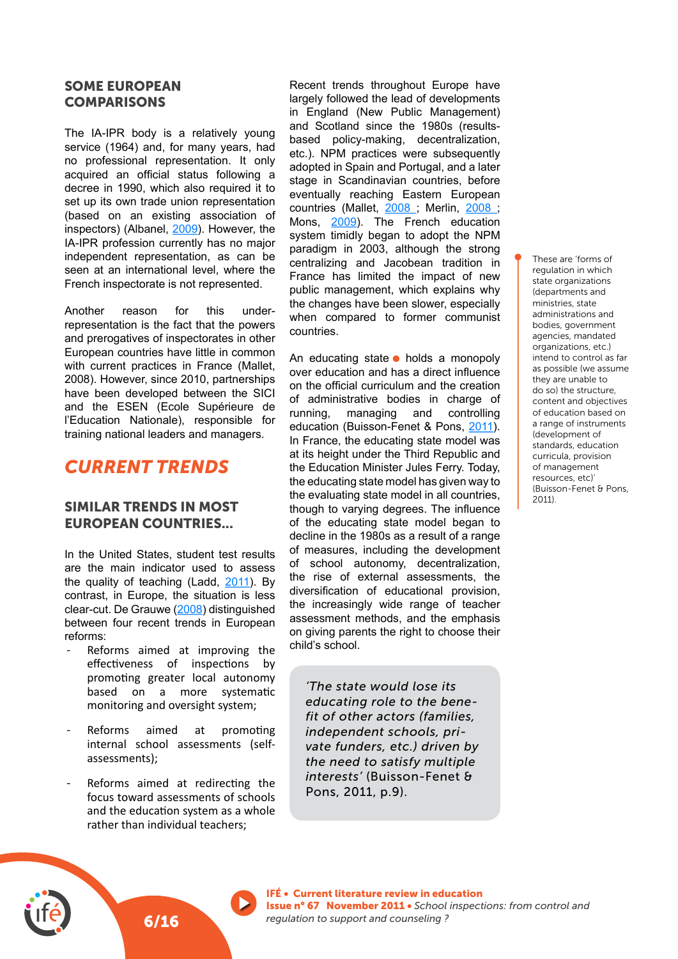#### **SOME EUROPEAN COMPARISONS**

The IA-IPR body is a relatively young service (1964) and, for many years, had no professional representation. It only acquired an official status following a decree in 1990, which also required it to set up its own trade union representation (based on an existing association of inspectors) (Albanel, 2009). However, the IA-IPR profession currently has no major independent representation, as can be seen at an international level, where the French inspectorate is not represented.

Another reason  $for$ this underrepresentation is the fact that the powers and prerogatives of inspectorates in other European countries have little in common with current practices in France (Mallet, 2008). However, since 2010, partnerships have been developed between the SICI and the ESEN (Ecole Supérieure de l'Education Nationale), responsible for training national leaders and managers.

### **CURRENT TRENDS**

### **SIMILAR TRENDS IN MOST EUROPEAN COUNTRIES...**

In the United States, student test results are the main indicator used to assess the quality of teaching (Ladd, 2011). By contrast, in Europe, the situation is less clear-cut. De Grauwe (2008) distinguished between four recent trends in European reforms:

- Reforms aimed at improving the effectiveness of inspections  $bv$ promoting greater local autonomy based on a more systematic monitoring and oversight system;
- Reforms aimed at promoting internal school assessments (selfassessments):
- Reforms aimed at redirecting the focus toward assessments of schools and the education system as a whole rather than individual teachers:

Recent trends throughout Europe have largely followed the lead of developments in England (New Public Management) and Scotland since the 1980s (resultsbased policy-making, decentralization, etc.). NPM practices were subsequently adopted in Spain and Portugal, and a later stage in Scandinavian countries, before eventually reaching Eastern European countries (Mallet, 2008 : Merlin, 2008 ; Mons, 2009). The French education system timidly began to adopt the NPM paradigm in 2003, although the strong centralizing and Jacobean tradition in France has limited the impact of new public management, which explains whv the changes have been slower, especially when compared to former communist countries.

An educating state • holds a monopoly over education and has a direct influence on the official curriculum and the creation of administrative bodies in charge of running. managing and controlling education (Buisson-Fenet & Pons, 2011). In France, the educating state model was at its height under the Third Republic and the Education Minister Jules Ferry. Today, the educating state model has given way to the evaluating state model in all countries. though to varying degrees. The influence of the educating state model began to decline in the 1980s as a result of a range of measures, including the development of school autonomy, decentralization, the rise of external assessments, the diversification of educational provision, the increasingly wide range of teacher assessment methods, and the emphasis on giving parents the right to choose their child's school.

'The state would lose its educating role to the benefit of other actors (families, independent schools, private funders, etc.) driven by the need to satisfy multiple interests' (Buisson-Fenet & Pons. 2011, p.9).

These are 'forms of regulation in which state organizations (departments and ministries, state administrations and bodies, government agencies, mandated organizations, etc.) intend to control as far as possible (we assume they are unable to do so) the structure, content and objectives of education based on a range of instruments (development of standards, education curricula, provision of management resources, etc)' (Buisson-Fenet & Pons.  $2011$ 



IFÉ • Current literature review in education **Issue n° 67 November 2011** • School inspections: from control and regulation to support and counseling?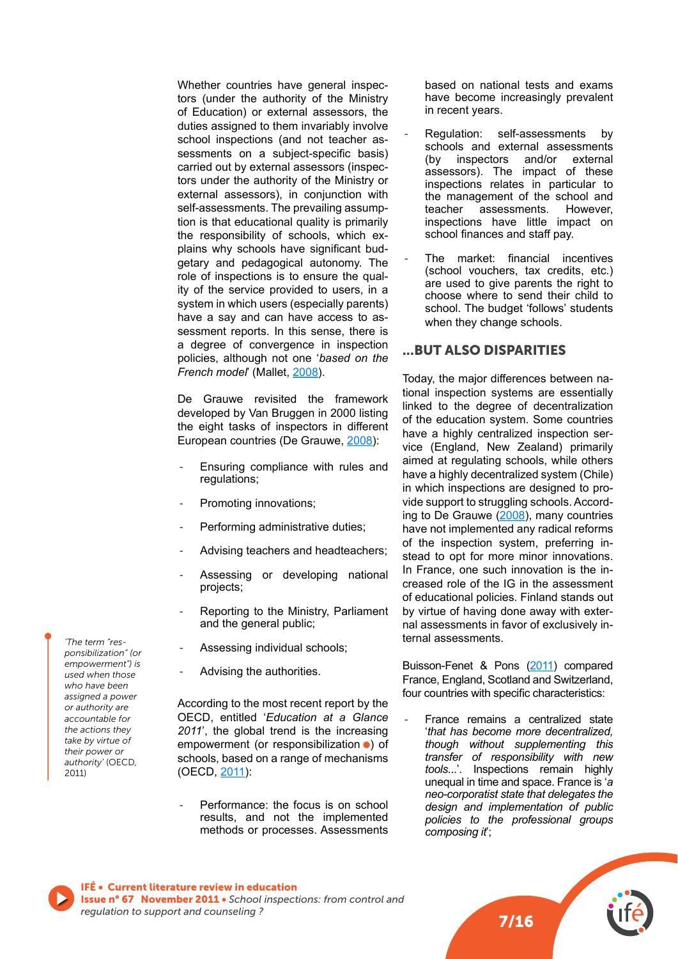Whether countries have general inspectors (under the authority of the Ministry of Education) or external assessors, the duties assigned to them invariably involve school inspections (and not teacher assessments on a subject-specific basis) carried out by external assessors (inspectors under the authority of the Ministry or external assessors), in conjunction with self-assessments. The prevailing assumption is that educational quality is primarily the responsibility of schools, which explains why schools have significant budgetary and pedagogical autonomy. The role of inspections is to ensure the quality of the service provided to users, in a system in which users (especially parents) have a say and can have access to assessment reports. In this sense, there is a degree of convergence in inspection policies, although not one 'based on the French model' (Mallet, 2008).

De Grauwe revisited the framework developed by Van Bruggen in 2000 listing the eight tasks of inspectors in different European countries (De Grauwe, 2008):

- Ensuring compliance with rules and regulations;
- Promoting innovations;
- Performing administrative duties;
- Advising teachers and headteachers;
- Assessing or developing national projects;
- Reporting to the Ministry, Parliament and the general public;
- Assessing individual schools;
- Advising the authorities.

According to the most recent report by the OECD, entitled 'Education at a Glance 2011', the global trend is the increasing empowerment (or responsibilization •) of schools, based on a range of mechanisms (OECD, 2011):

Performance: the focus is on school results, and not the implemented methods or processes. Assessments based on national tests and exams have become increasingly prevalent in recent years.

- Regulation: self-assessments by schools and external assessments inspectors and/or external (by assessors). The impact of these inspections relates in particular to the management of the school and teacher assessments. However. inspections have little impact on school finances and staff pay.
- The market: financial incentives (school vouchers, tax credits, etc.) are used to give parents the right to choose where to send their child to school. The budget 'follows' students when they change schools.

#### ...BUT ALSO DISPARITIES

Today, the major differences between national inspection systems are essentially linked to the degree of decentralization of the education system. Some countries have a highly centralized inspection service (England, New Zealand) primarily aimed at regulating schools, while others have a highly decentralized system (Chile) in which inspections are designed to provide support to struggling schools. According to De Grauwe (2008), many countries have not implemented any radical reforms of the inspection system, preferring instead to opt for more minor innovations. In France, one such innovation is the increased role of the IG in the assessment of educational policies. Finland stands out by virtue of having done away with external assessments in favor of exclusively internal assessments.

Buisson-Fenet & Pons (2011) compared France, England, Scotland and Switzerland, four countries with specific characteristics:

France remains a centralized state 'that has become more decentralized. though without supplementing this transfer of responsibility with new tools...'. Inspections remain highly unequal in time and space. France is 'a neo-corporatist state that delegates the design and implementation of public policies to the professional groups composing if:



'The term "responsibilization" (or empowerment") is used when those who have been assigned a power or authority are accountable for the actions they take by virtue of their power or authority' (OECD,  $2011$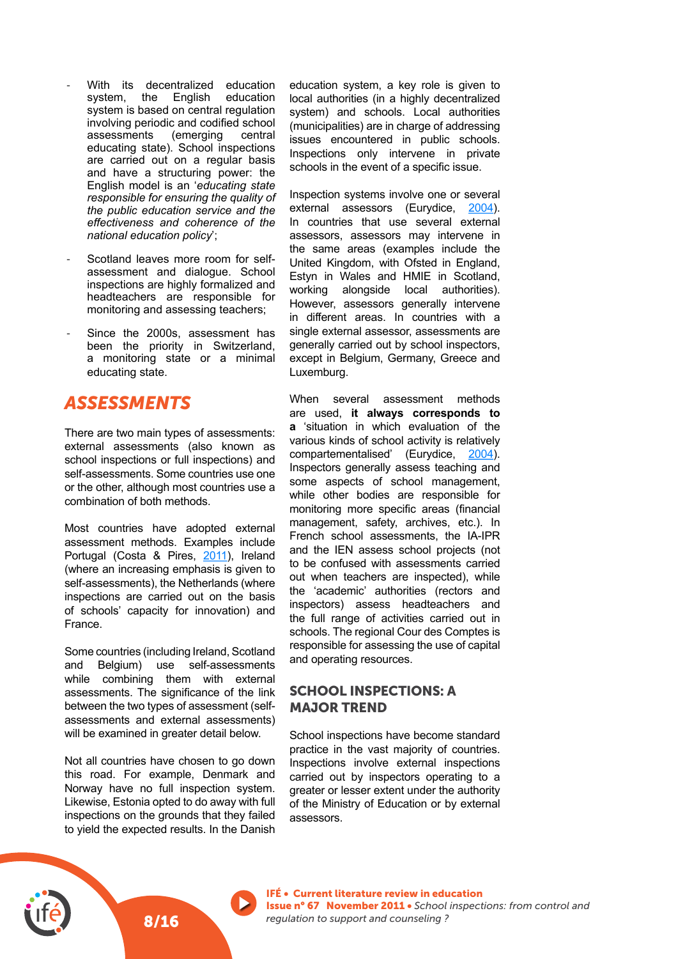- With its decentralized education system, the English education system is based on central regulation involving periodic and codified school (emerging assessments central educating state). School inspections are carried out on a regular basis and have a structuring power: the English model is an 'educating state responsible for ensuring the quality of the public education service and the effectiveness and coherence of the national education policy';
- Scotland leaves more room for selfassessment and dialogue. School inspections are highly formalized and headteachers are responsible for monitoring and assessing teachers;
- Since the 2000s, assessment has been the priority in Switzerland, a monitoring state or a minimal educating state.

### **ASSESSMENTS**

There are two main types of assessments: external assessments (also known as school inspections or full inspections) and self-assessments. Some countries use one or the other, although most countries use a combination of both methods.

Most countries have adopted external assessment methods. Examples include Portugal (Costa & Pires, 2011), Ireland (where an increasing emphasis is given to self-assessments), the Netherlands (where inspections are carried out on the basis of schools' capacity for innovation) and France.

Some countries (including Ireland, Scotland and Belgium) use self-assessments while combining them with external assessments. The significance of the link between the two types of assessment (selfassessments and external assessments) will be examined in greater detail below.

Not all countries have chosen to go down this road. For example, Denmark and Norway have no full inspection system. Likewise, Estonia opted to do away with full inspections on the grounds that they failed to yield the expected results. In the Danish

8/16

education system, a key role is given to local authorities (in a highly decentralized system) and schools. Local authorities (municipalities) are in charge of addressing issues encountered in public schools. Inspections only intervene in private schools in the event of a specific issue.

Inspection systems involve one or several external assessors (Eurydice 2004). In countries that use several external assessors, assessors may intervene in the same areas (examples include the United Kingdom, with Ofsted in England, Estyn in Wales and HMIE in Scotland, working alongside local authorities). However, assessors generally intervene in different areas. In countries with a single external assessor, assessments are generally carried out by school inspectors. except in Belgium. Germany. Greece and Luxemburg.

When several assessment methods are used. it always corresponds to a 'situation in which evaluation of the various kinds of school activity is relatively compartementalised' (Eurydice, 2004). Inspectors generally assess teaching and some aspects of school management. while other bodies are responsible for monitoring more specific areas (financial management, safety, archives, etc.). In French school assessments, the IA-IPR and the IEN assess school projects (not to be confused with assessments carried out when teachers are inspected), while the 'academic' authorities (rectors and inspectors) assess headteachers and the full range of activities carried out in schools. The regional Cour des Comptes is responsible for assessing the use of capital and operating resources.

### **SCHOOL INSPECTIONS: A MAJOR TREND**

School inspections have become standard practice in the vast majority of countries. Inspections involve external inspections carried out by inspectors operating to a greater or lesser extent under the authority of the Ministry of Education or by external assessors.



IFÉ • Current literature review in education **Issue n° 67 November 2011** • School inspections: from control and regulation to support and counseling?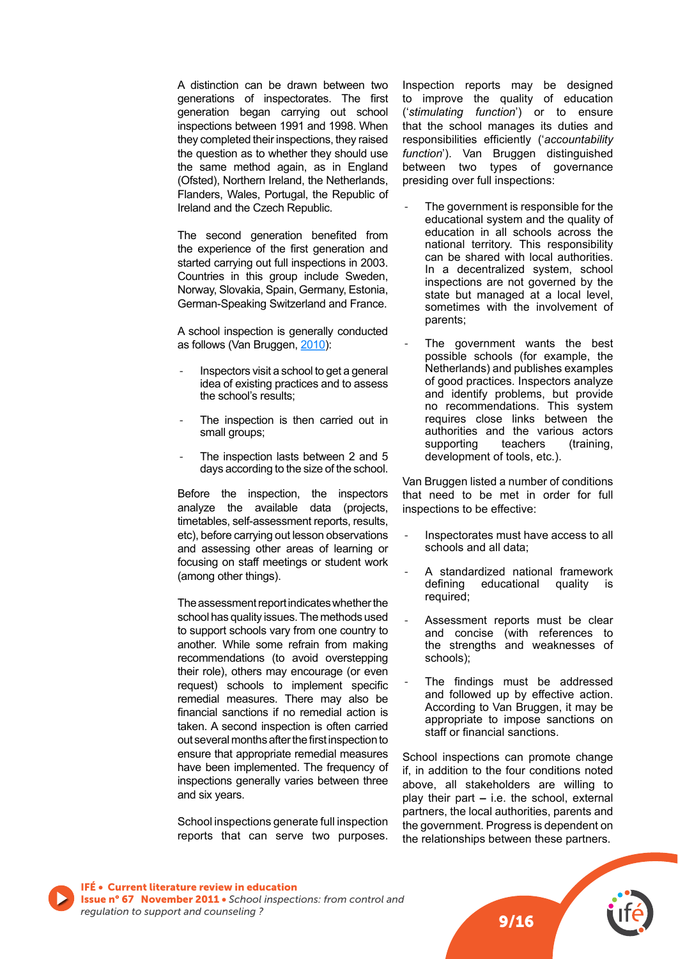A distinction can be drawn between two generations of inspectorates. The first generation began carrying out school inspections between 1991 and 1998. When they completed their inspections, they raised the question as to whether they should use the same method again, as in England (Ofsted), Northern Ireland, the Netherlands, Flanders. Wales. Portugal, the Republic of Ireland and the Czech Republic.

The second generation benefited from the experience of the first generation and started carrying out full inspections in 2003. Countries in this group include Sweden, Norway, Slovakia, Spain, Germany, Estonia, German-Speaking Switzerland and France.

A school inspection is generally conducted as follows (Van Bruggen, 2010):

- Inspectors visit a school to get a general idea of existing practices and to assess the school's results:
- The inspection is then carried out in small groups:
- The inspection lasts between 2 and 5 days according to the size of the school.

Before the inspection, the inspectors analyze the available data (projects, timetables, self-assessment reports, results, etc), before carrying out lesson observations and assessing other areas of learning or focusing on staff meetings or student work (among other things).

The assessment report indicates whether the school has quality issues. The methods used to support schools vary from one country to another. While some refrain from making recommendations (to avoid overstepping their role), others may encourage (or even request) schools to implement specific remedial measures. There may also be financial sanctions if no remedial action is taken. A second inspection is often carried out several months after the first inspection to ensure that appropriate remedial measures have been implemented. The frequency of inspections generally varies between three and six vears.

School inspections generate full inspection reports that can serve two purposes.

Inspection reports may be designed to improve the quality of education ('stimulating function') or to ensure that the school manages its duties and responsibilities efficiently ('accountability function'). Van Bruggen distinguished between two types of governance presiding over full inspections:

- The government is responsible for the educational system and the quality of education in all schools across the national territory. This responsibility can be shared with local authorities. In a decentralized system, school inspections are not governed by the state but managed at a local level. sometimes with the involvement of parents:
- The government wants the best possible schools (for example, the Netherlands) and publishes examples of good practices. Inspectors analyze and identify problems, but provide no recommendations. This system requires close links between the authorities and the various actors supporting teachers (training. development of tools, etc.).

Van Bruggen listed a number of conditions that need to be met in order for full inspections to be effective:

- Inspectorates must have access to all schools and all data;
- A standardized national framework defining educational quality is required;
- Assessment reports must be clear and concise (with references to the strengths and weaknesses of schools);
- The findings must be addressed and followed up by effective action. According to Van Bruggen, it may be appropriate to impose sanctions on staff or financial sanctions.

School inspections can promote change if, in addition to the four conditions noted above, all stakeholders are willing to play their part - i.e. the school, external partners, the local authorities, parents and the government. Progress is dependent on the relationships between these partners.

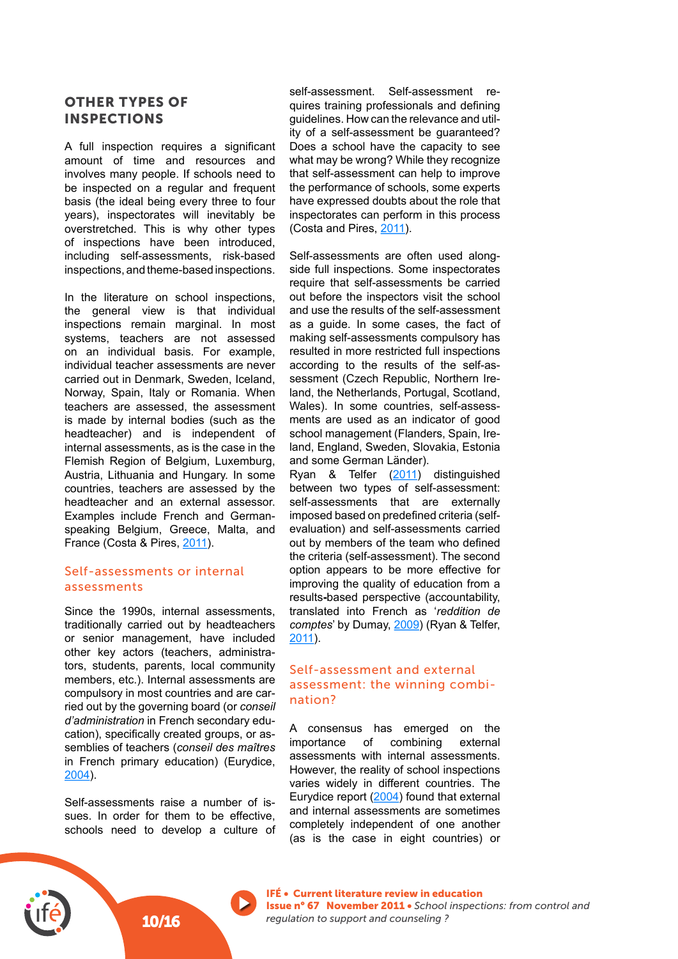### **OTHER TYPES OF INSPECTIONS**

A full inspection requires a significant amount of time and resources and involves many people. If schools need to be inspected on a regular and frequent basis (the ideal being every three to four years), inspectorates will inevitably be overstretched. This is why other types of inspections have been introduced, including self-assessments, risk-based inspections, and theme-based inspections.

In the literature on school inspections. the general view is that individual inspections remain marginal. In most systems, teachers are not assessed on an individual basis. For example, individual teacher assessments are never carried out in Denmark, Sweden, Iceland, Norway, Spain, Italy or Romania. When teachers are assessed, the assessment is made by internal bodies (such as the headteacher) and is independent of internal assessments, as is the case in the Flemish Region of Belgium, Luxemburg, Austria, Lithuania and Hungary. In some countries, teachers are assessed by the headteacher and an external assessor. Examples include French and Germanspeaking Belgium, Greece, Malta, and France (Costa & Pires, 2011).

#### Self-assessments or internal assessments

Since the 1990s, internal assessments, traditionally carried out by headteachers or senior management, have included other key actors (teachers, administrators, students, parents, local community members, etc.). Internal assessments are compulsory in most countries and are carried out by the governing board (or conseil d'administration in French secondary education), specifically created groups, or assemblies of teachers (conseil des maîtres in French primary education) (Eurydice, 2004).

Self-assessments raise a number of issues. In order for them to be effective. schools need to develop a culture of self-assessment. Self-assessment requires training professionals and defining guidelines. How can the relevance and utility of a self-assessment be quaranteed? Does a school have the capacity to see what may be wrong? While they recognize that self-assessment can help to improve the performance of schools, some experts have expressed doubts about the role that inspectorates can perform in this process (Costa and Pires, 2011).

Self-assessments are often used alongside full inspections. Some inspectorates require that self-assessments be carried out before the inspectors visit the school and use the results of the self-assessment as a quide. In some cases, the fact of making self-assessments compulsory has resulted in more restricted full inspections according to the results of the self-assessment (Czech Republic, Northern Ireland, the Netherlands, Portugal, Scotland, Wales). In some countries, self-assessments are used as an indicator of good school management (Flanders, Spain, Ireland, England, Sweden, Slovakia, Estonia and some German Länder).

Ryan & Telfer (2011) distinguished between two types of self-assessment: self-assessments that are externally imposed based on predefined criteria (selfevaluation) and self-assessments carried out by members of the team who defined the criteria (self-assessment). The second option appears to be more effective for improving the quality of education from a results-based perspective (accountability, translated into French as 'reddition de comptes' by Dumay, 2009) (Ryan & Telfer,  $2011$ ).

#### Self-assessment and external assessment: the winning combination?

A consensus has emerged on the combining importance of external assessments with internal assessments. However, the reality of school inspections varies widely in different countries. The Eurydice report (2004) found that external and internal assessments are sometimes completely independent of one another (as is the case in eight countries) or



IFÉ . Current literature review in education **Issue nº 67 November 2011 .** School inspections: from control and regulation to support and counseling?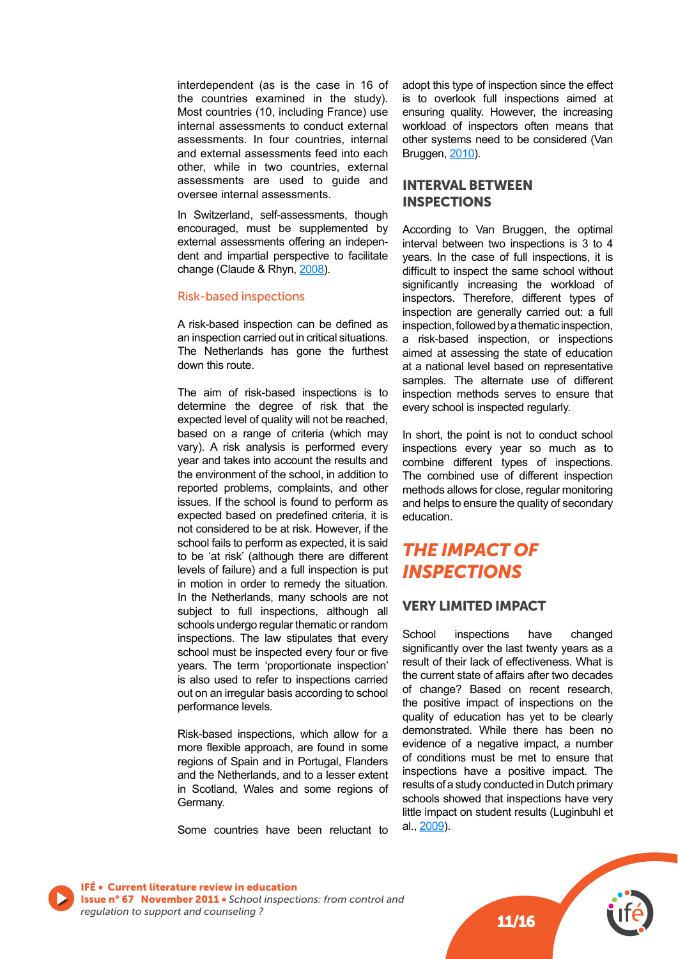interdependent (as is the case in 16 of the countries examined in the study). Most countries (10. including France) use internal assessments to conduct external assessments. In four countries, internal and external assessments feed into each other, while in two countries, external assessments are used to guide and oversee internal assessments.

In Switzerland, self-assessments, though encouraged, must be supplemented by external assessments offering an independent and impartial perspective to facilitate change (Claude & Rhyn, 2008).

#### **Risk-based inspections**

A risk-based inspection can be defined as an inspection carried out in critical situations. The Netherlands has gone the furthest down this route.

The aim of risk-based inspections is to determine the degree of risk that the expected level of quality will not be reached. based on a range of criteria (which may vary). A risk analysis is performed every vear and takes into account the results and the environment of the school, in addition to reported problems, complaints, and other issues. If the school is found to perform as expected based on predefined criteria, it is not considered to be at risk. However, if the school fails to perform as expected, it is said to be 'at risk' (although there are different levels of failure) and a full inspection is put in motion in order to remedy the situation. In the Netherlands, many schools are not subject to full inspections, although all schools undergo regular thematic or random inspections. The law stipulates that every school must be inspected every four or five years. The term 'proportionate inspection' is also used to refer to inspections carried out on an irregular basis according to school performance levels.

Risk-based inspections, which allow for a more flexible approach, are found in some regions of Spain and in Portugal, Flanders and the Netherlands, and to a lesser extent in Scotland, Wales and some regions of Germany.

Some countries have been reluctant to

adopt this type of inspection since the effect is to overlook full inspections aimed at ensuring quality. However, the increasing workload of inspectors often means that other systems need to be considered (Van Bruggen, 2010).

#### **INTERVAL BETWEEN INSPECTIONS**

According to Van Bruggen, the optimal interval between two inspections is 3 to 4 years. In the case of full inspections, it is difficult to inspect the same school without significantly increasing the workload of inspectors. Therefore, different types of inspection are generally carried out: a full inspection, followed by a thematic inspection, a risk-based inspection, or inspections aimed at assessing the state of education at a national level based on representative samples. The alternate use of different inspection methods serves to ensure that every school is inspected regularly.

In short, the point is not to conduct school inspections every year so much as to combine different types of inspections. The combined use of different inspection methods allows for close, regular monitoring and helps to ensure the quality of secondary education.

### **THE IMPACT OF INSPECTIONS**

#### **VERY LIMITED IMPACT**

School inspections have changed significantly over the last twenty years as a result of their lack of effectiveness. What is the current state of affairs after two decades of change? Based on recent research, the positive impact of inspections on the quality of education has yet to be clearly demonstrated. While there has been no evidence of a negative impact, a number of conditions must be met to ensure that inspections have a positive impact. The results of a study conducted in Dutch primary schools showed that inspections have very little impact on student results (Luginbuhl et al., 2009).



IFÉ • Current literature review in education Issue n° 67 November 2011 . School inspections: from control and regulation to support and counseling?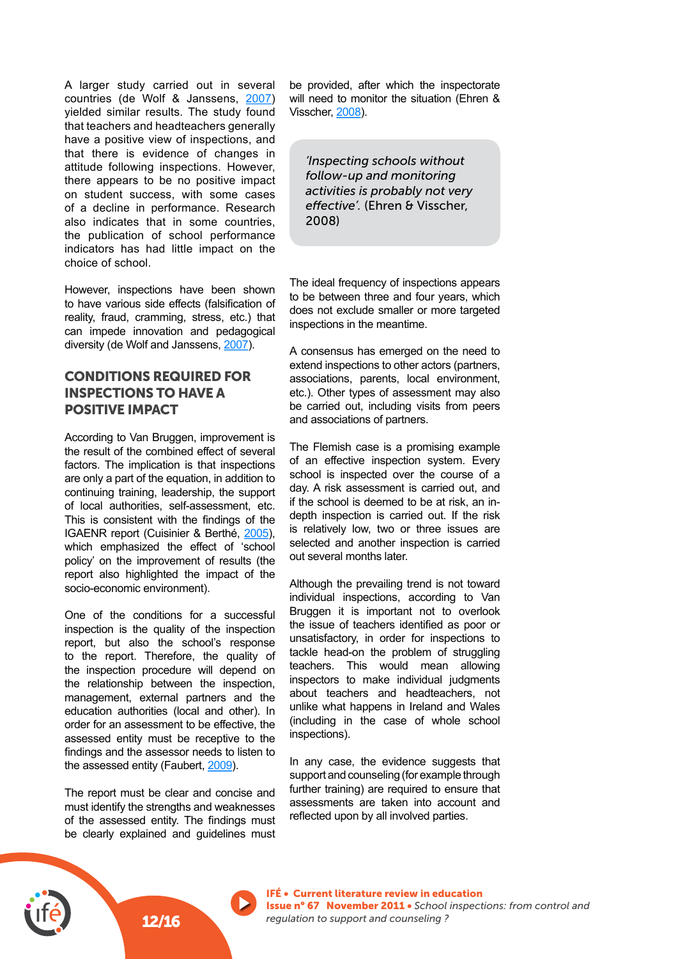A larger study carried out in several countries (de Wolf & Janssens, 2007) vielded similar results. The study found that teachers and headteachers generally have a positive view of inspections, and that there is evidence of changes in attitude following inspections. However, there appears to be no positive impact on student success, with some cases of a decline in performance. Research also indicates that in some countries. the publication of school performance indicators has had little impact on the choice of school.

However, inspections have been shown to have various side effects (falsification of reality, fraud, cramming, stress, etc.) that can impede innovation and pedagogical diversity (de Wolf and Janssens, 2007).

#### **CONDITIONS REQUIRED FOR INSPECTIONS TO HAVE A POSITIVE IMPACT**

According to Van Bruggen, improvement is the result of the combined effect of several factors. The implication is that inspections are only a part of the equation, in addition to continuing training, leadership, the support of local authorities, self-assessment, etc. This is consistent with the findings of the IGAENR report (Cuisinier & Berthé, 2005). which emphasized the effect of 'school policy' on the improvement of results (the report also highlighted the impact of the socio-economic environment).

One of the conditions for a successful inspection is the quality of the inspection report, but also the school's response to the report. Therefore, the quality of the inspection procedure will depend on the relationship between the inspection. management, external partners and the education authorities (local and other). In order for an assessment to be effective, the assessed entity must be receptive to the findings and the assessor needs to listen to the assessed entity (Faubert, 2009).

The report must be clear and concise and must identify the strengths and weaknesses of the assessed entity. The findings must be clearly explained and quidelines must be provided, after which the inspectorate will need to monitor the situation (Ehren & Visscher, 2008).

'Inspecting schools without follow-up and monitoring activities is probably not very effective'. (Ehren & Visscher, 2008)

The ideal frequency of inspections appears to be between three and four years, which does not exclude smaller or more targeted inspections in the meantime.

A consensus has emerged on the need to extend inspections to other actors (partners, associations, parents, local environment, etc.). Other types of assessment may also be carried out, including visits from peers and associations of partners.

The Flemish case is a promising example of an effective inspection system. Every school is inspected over the course of a day. A risk assessment is carried out, and if the school is deemed to be at risk, an indepth inspection is carried out. If the risk is relatively low, two or three issues are selected and another inspection is carried out several months later.

Although the prevailing trend is not toward individual inspections, according to Van Bruggen it is important not to overlook the issue of teachers identified as poor or unsatisfactory, in order for inspections to tackle head-on the problem of struggling teachers. This would mean allowing inspectors to make individual judgments about teachers and headteachers, not unlike what happens in Ireland and Wales (including in the case of whole school inspections).

In any case, the evidence suggests that support and counseling (for example through further training) are required to ensure that assessments are taken into account and reflected upon by all involved parties.



IFÉ • Current literature review in education **Issue n° 67 November 2011** • School inspections: from control and regulation to support and counseling?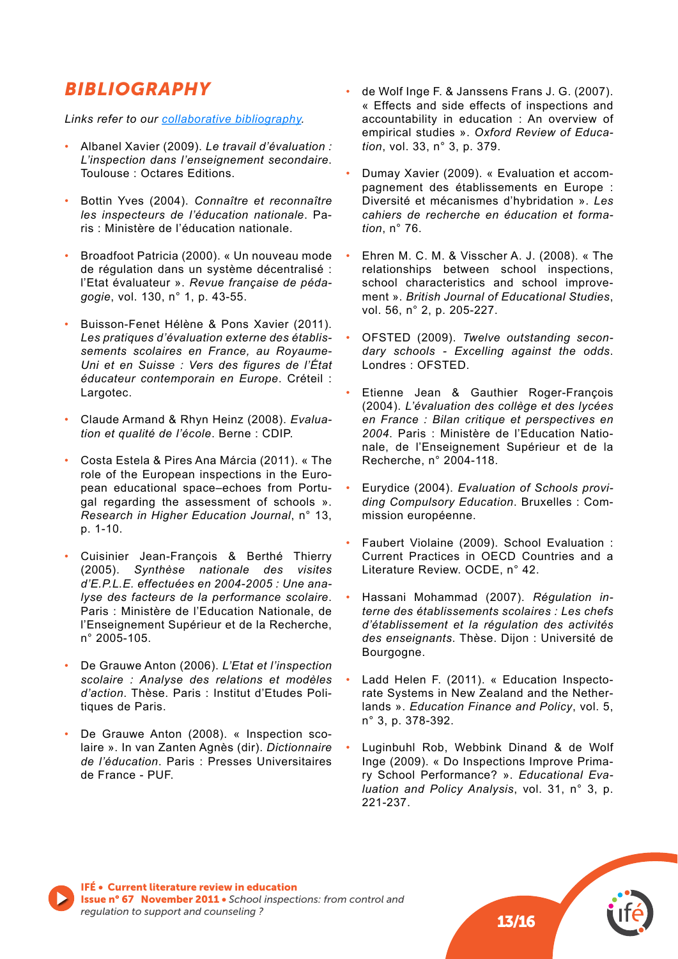# **BIBLIOGRAPHY**

Links refer to our collaborative bibliography.

- · Albanel Xavier (2009). Le travail d'évaluation : L'inspection dans l'enseignement secondaire. Toulouse : Octares Editions
- Bottin Yves (2004). Connaître et reconnaître les inspecteurs de l'éducation nationale. Paris : Ministère de l'éducation nationale
- Broadfoot Patricia (2000). « Un nouveau mode de réquiation dans un système décentralisé : l'Etat évaluateur ». Revue française de pédagogie, vol. 130, n° 1, p. 43-55.
- Buisson-Fenet Hélène & Pons Xavier (2011). Les pratiques d'évaluation externe des établissements scolaires en France, au Royaume-Uni et en Suisse : Vers des figures de l'État éducateur contemporain en Europe. Créteil : Largotec.
- Claude Armand & Rhyn Heinz (2008). Evaluation et qualité de l'école. Berne : CDIP.
- Costa Estela & Pires Ana Márcia (2011). « The role of the European inspections in the European educational space-echoes from Portugal regarding the assessment of schools ». Research in Higher Education Journal, n° 13. p. 1-10.
- Cuisinier Jean-Francois & Berthé Thierry (2005). Synthèse nationale des visites d'E.P.L.E. effectuées en 2004-2005 : Une analyse des facteurs de la performance scolaire. Paris: Ministère de l'Education Nationale, de l'Enseignement Supérieur et de la Recherche.  $n^{\circ}$  2005-105.
- De Grauwe Anton (2006). L'Etat et l'inspection scolaire : Analyse des relations et modèles d'action. Thèse. Paris : Institut d'Etudes Politiques de Paris.
- De Grauwe Anton (2008). « Inspection scolaire ». In van Zanten Agnès (dir), Dictionnaire de l'éducation. Paris : Presses Universitaires de France - PUF
- de Wolf Inge F. & Janssens Frans J. G. (2007). « Effects and side effects of inspections and accountability in education : An overview of empirical studies ». Oxford Review of Education, vol. 33, n° 3, p. 379.
- Dumay Xavier (2009). « Evaluation et accompagnement des établissements en Europe : Diversité et mécanismes d'hybridation ». Les cahiers de recherche en éducation et formation,  $n^{\circ}$  76.
- Ehren M. C. M. & Visscher A. J. (2008). « The relationships between school inspections, school characteristics and school improvement ». British Journal of Educational Studies, vol. 56, n° 2, p. 205-227.
- OFSTED (2009). Twelve outstanding secondary schools - Excelling against the odds. Londres: OFSTED.
- Etienne Jean & Gauthier Roger-François (2004). L'évaluation des collège et des lycées en France : Bilan critique et perspectives en 2004. Paris : Ministère de l'Education Nationale, de l'Enseignement Supérieur et de la Recherche, n° 2004-118.
- Eurydice (2004). Evaluation of Schools providing Compulsory Education. Bruxelles: Commission européenne.
- Faubert Violaine (2009). School Evaluation: Current Practices in OECD Countries and a Literature Review, OCDE, n° 42.
- Hassani Mohammad (2007). Régulation interne des établissements scolaires : Les chefs d'établissement et la régulation des activités des enseignants. Thèse. Dijon : Université de Bourgoane.
- Ladd Helen F. (2011). « Education Inspectorate Systems in New Zealand and the Netherlands ». Education Finance and Policy, vol. 5. n° 3. p. 378-392.
- Luginbuhl Rob, Webbink Dinand & de Wolf Inge (2009). « Do Inspections Improve Primary School Performance? ». Educational Eva*luation and Policy Analysis, vol. 31, n° 3, p.* 221-237.

IFÉ . Current literature review in education Issue nº 67 November 2011 . School inspections: from control and regulation to support and counseling?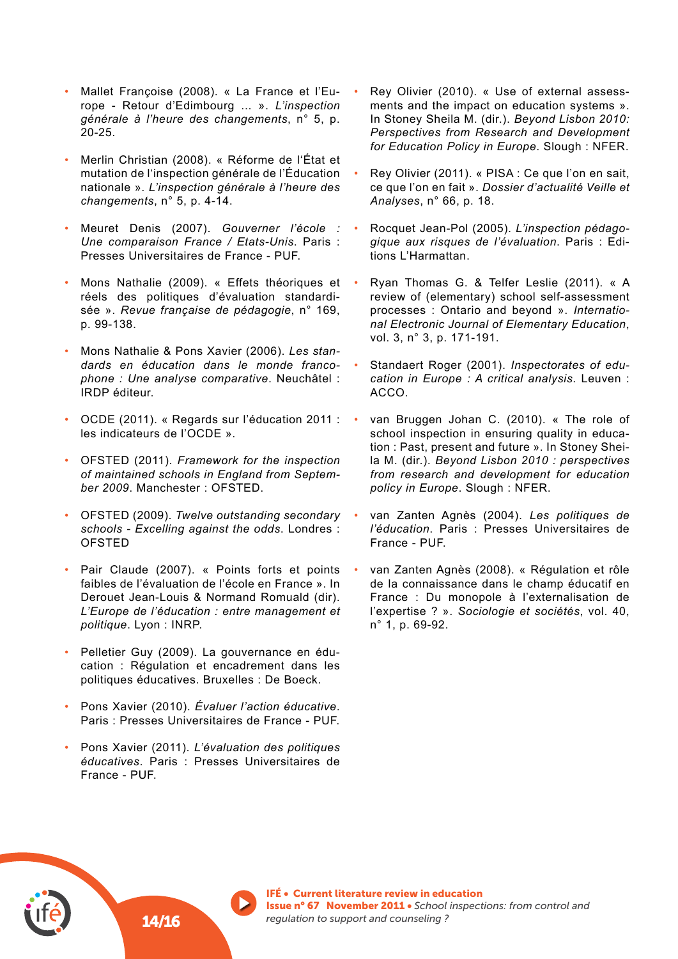- Mallet Françoise (2008). « La France et l'Europe - Retour d'Edimbourg ... ». L'inspection générale à l'heure des changements, n° 5, p.  $20 - 25$ .
- Merlin Christian (2008). « Réforme de l'État et mutation de l'inspection générale de l'Éducation nationale ». L'inspection générale à l'heure des changements,  $n^{\circ}$  5, p. 4-14.
- Meuret Denis (2007). Gouverner l'école : Une comparaison France / Etats-Unis. Paris : Presses Universitaires de France - PUF.
- Mons Nathalie (2009). « Effets théoriques et réels des politiques d'évaluation standardisée ». Revue française de pédagogie, n° 169, p. 99-138.
- Mons Nathalie & Pons Xavier (2006). Les standards en éducation dans le monde francophone : Une analyse comparative. Neuchâtel : IRDP éditeur.
- OCDE (2011). « Regards sur l'éducation 2011 : les indicateurs de l'OCDE ».
- OFSTED (2011). Framework for the inspection of maintained schools in England from September 2009. Manchester: OFSTED.
- OFSTED (2009). Twelve outstanding secondary schools - Excelling against the odds. Londres: **OFSTED**
- Pair Claude (2007). « Points forts et points faibles de l'évaluation de l'école en France ». In Derouet Jean-Louis & Normand Romuald (dir). L'Europe de l'éducation : entre management et politique. Lyon: INRP.
- Pelletier Guy (2009). La gouvernance en éducation : Réquiation et encadrement dans les politiques éducatives. Bruxelles : De Boeck.
- Pons Xavier (2010). Évaluer l'action éducative. Paris : Presses Universitaires de France - PUF
- Pons Xavier (2011). L'évaluation des politiques éducatives. Paris : Presses Universitaires de France - PUF

14/16

- Rey Olivier (2010). « Use of external assessments and the impact on education systems ». In Stoney Sheila M. (dir.). Beyond Lisbon 2010: Perspectives from Research and Development for Education Policy in Europe. Slough: NFER.
- Rey Olivier (2011). « PISA : Ce que l'on en sait, ce que l'on en fait ». Dossier d'actualité Veille et Analyses, n° 66, p. 18.
- Rocquet Jean-Pol (2005). L'inspection pédagogique aux risques de l'évaluation. Paris : Editions L'Harmattan.
- Ryan Thomas G. & Telfer Leslie (2011). « A review of (elementary) school self-assessment processes: Ontario and beyond ». International Electronic Journal of Elementary Education. vol. 3, n° 3, p. 171-191.
- Standaert Roger (2001). Inspectorates of education in Europe : A critical analysis. Leuven : ACCO.
- van Bruggen Johan C. (2010). « The role of school inspection in ensuring quality in education: Past, present and future ». In Stoney Sheila M. (dir.). Beyond Lisbon 2010 : perspectives from research and development for education policy in Europe. Slough: NFER.
- van Zanten Agnès (2004). Les politiques de l'éducation. Paris : Presses Universitaires de France - PUF.
- van Zanten Agnès (2008). « Régulation et rôle de la connaissance dans le champ éducatif en France : Du monopole à l'externalisation de l'expertise ? ». Sociologie et sociétés, vol. 40, n° 1. p. 69-92.

IFÉ • Current literature review in education **Issue n° 67 November 2011** • School inspections: from control and regulation to support and counseling?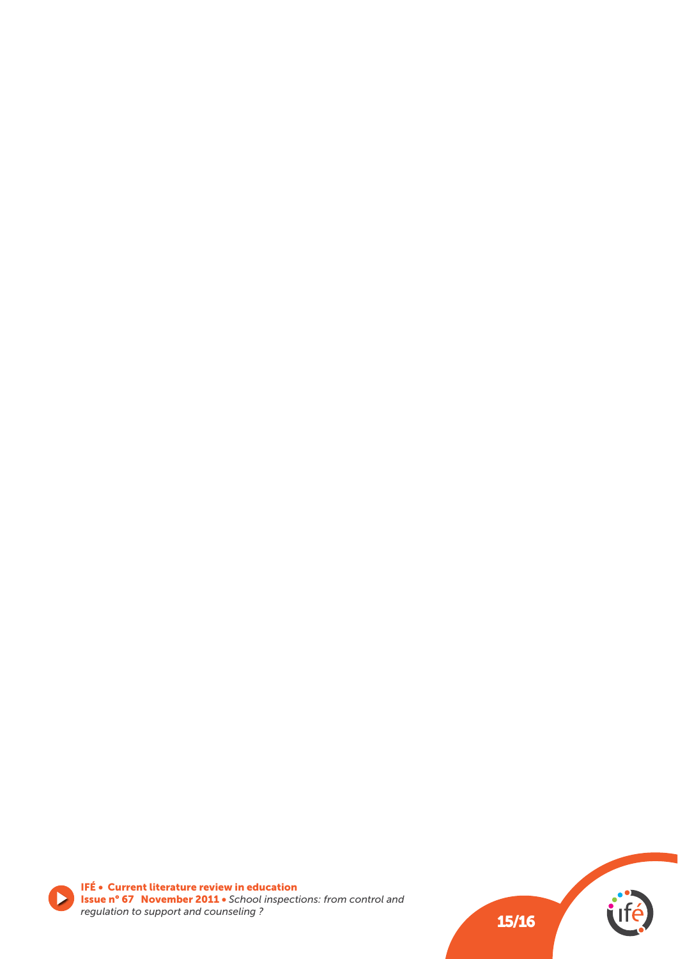